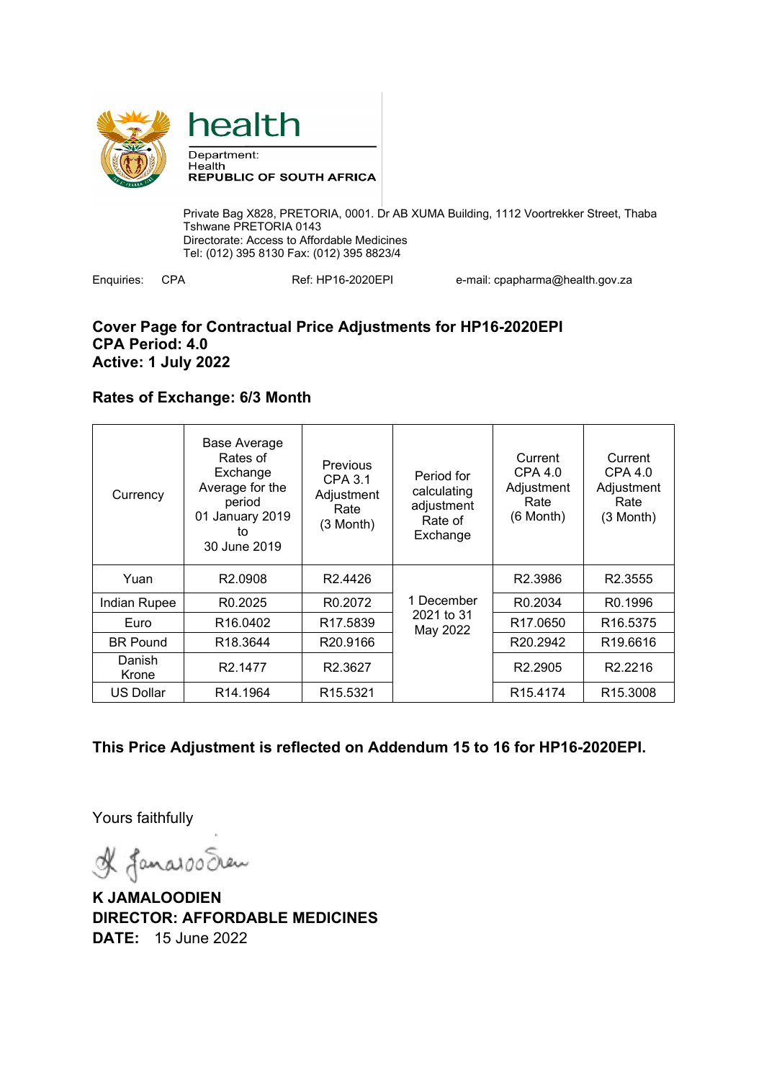



Private Bag X828, PRETORIA, 0001. Dr AB XUMA Building, 1112 Voortrekker Street, Thaba Tshwane PRETORIA 0143 Directorate: Access to Affordable Medicines Tel: (012) 395 8130 Fax: (012) 395 8823/4

Enquiries: CPA Ref: HP16-2020EPI e-mail: cpapharma@health.gov.za

### **Cover Page for Contractual Price Adjustments for HP16-2020EPI CPA Period: 4.0 Active: 1 July 2022**

## **Rates of Exchange: 6/3 Month**

| Currency         | <b>Base Average</b><br>Rates of<br>Exchange<br>Average for the<br>period<br>01 January 2019<br>to<br>30 June 2019 | Previous<br>CPA 3.1<br>Adjustment<br>Rate<br>$(3$ Month) | Period for<br>calculating<br>adjustment<br>Rate of<br>Exchange | Current<br>CPA 4.0<br>Adjustment<br>Rate<br>$(6$ Month $)$ | Current<br>CPA 4.0<br>Adjustment<br>Rate<br>(3 Month) |
|------------------|-------------------------------------------------------------------------------------------------------------------|----------------------------------------------------------|----------------------------------------------------------------|------------------------------------------------------------|-------------------------------------------------------|
| Yuan             | R <sub>2.0908</sub>                                                                                               | R <sub>2.4426</sub>                                      |                                                                | R <sub>2.3986</sub>                                        | R <sub>2.3555</sub>                                   |
| Indian Rupee     | R <sub>0.2025</sub>                                                                                               | R <sub>0.2072</sub>                                      | 1 December                                                     | R <sub>0.2034</sub>                                        | R <sub>0.1996</sub>                                   |
| Euro             | R <sub>16</sub> .0402                                                                                             | R <sub>17.5839</sub>                                     | 2021 to 31<br>May 2022                                         | R <sub>17.0650</sub>                                       | R <sub>16.5375</sub>                                  |
| <b>BR Pound</b>  | R <sub>18.3644</sub>                                                                                              | R <sub>20.9166</sub>                                     |                                                                | R <sub>20.2942</sub>                                       | R <sub>19.6616</sub>                                  |
| Danish<br>Krone  | R <sub>2.1477</sub>                                                                                               | R <sub>2.3627</sub>                                      |                                                                | R <sub>2.2905</sub>                                        | R <sub>2.2216</sub>                                   |
| <b>US Dollar</b> | R <sub>14.1964</sub>                                                                                              | R <sub>15.5321</sub>                                     |                                                                | R <sub>15.4174</sub>                                       | R <sub>15.3008</sub>                                  |

# **This Price Adjustment is reflected on Addendum 15 to 16 for HP16-2020EPI.**

Yours faithfully

& Janaroo Seen

**K JAMALOODIEN DIRECTOR: AFFORDABLE MEDICINES DATE:** 15 June 2022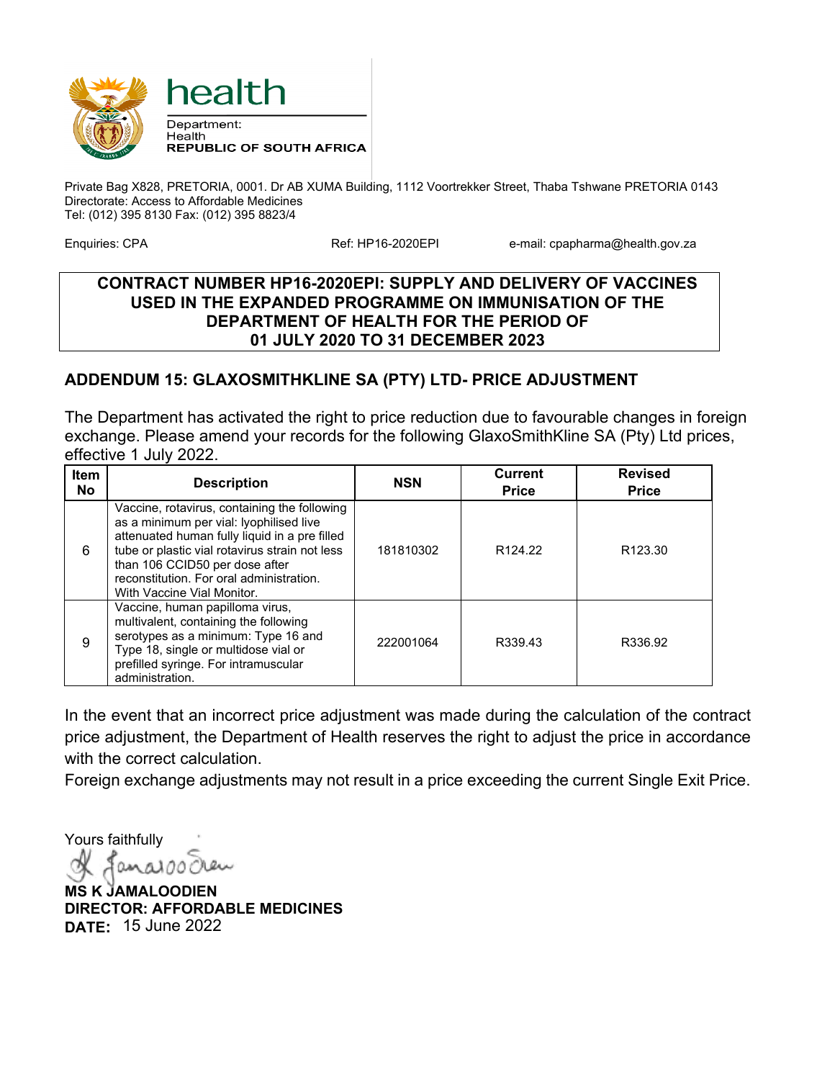

Private Bag X828, PRETORIA, 0001. Dr AB XUMA Building, 1112 Voortrekker Street, Thaba Tshwane PRETORIA 0143 Directorate: Access to Affordable Medicines Tel: (012) 395 8130 Fax: (012) 395 8823/4

Enquiries: CPA **Ref: HP16-2020EPI** e-mail: cpapharma@health.gov.za

### **CONTRACT NUMBER HP16-2020EPI: SUPPLY AND DELIVERY OF VACCINES USED IN THE EXPANDED PROGRAMME ON IMMUNISATION OF THE DEPARTMENT OF HEALTH FOR THE PERIOD OF 01 JULY 2020 TO 31 DECEMBER 2023**

# **ADDENDUM 15: GLAXOSMITHKLINE SA (PTY) LTD- PRICE ADJUSTMENT**

The Department has activated the right to price reduction due to favourable changes in foreign exchange. Please amend your records for the following GlaxoSmithKline SA (Pty) Ltd prices, effective 1 July 2022.

| Item<br>No | <b>Description</b>                                                                                                                                                                                                                                                                                     | <b>NSN</b> | <b>Current</b><br><b>Price</b> | <b>Revised</b><br><b>Price</b> |
|------------|--------------------------------------------------------------------------------------------------------------------------------------------------------------------------------------------------------------------------------------------------------------------------------------------------------|------------|--------------------------------|--------------------------------|
| 6          | Vaccine, rotavirus, containing the following<br>as a minimum per vial: lyophilised live<br>attenuated human fully liquid in a pre filled<br>tube or plastic vial rotavirus strain not less<br>than 106 CCID50 per dose after<br>reconstitution. For oral administration.<br>With Vaccine Vial Monitor. | 181810302  | R <sub>124.22</sub>            | R <sub>123.30</sub>            |
| 9          | Vaccine, human papilloma virus,<br>multivalent, containing the following<br>serotypes as a minimum: Type 16 and<br>Type 18, single or multidose vial or<br>prefilled syringe. For intramuscular<br>administration.                                                                                     | 222001064  | R339.43                        | R336.92                        |

In the event that an incorrect price adjustment was made during the calculation of the contract price adjustment, the Department of Health reserves the right to adjust the price in accordance with the correct calculation.

Foreign exchange adjustments may not result in a price exceeding the current Single Exit Price.

Yours faithfully

**MS K JAMALOODIEN DIRECTOR: AFFORDABLE MEDICINES DATE:** 15 June 2022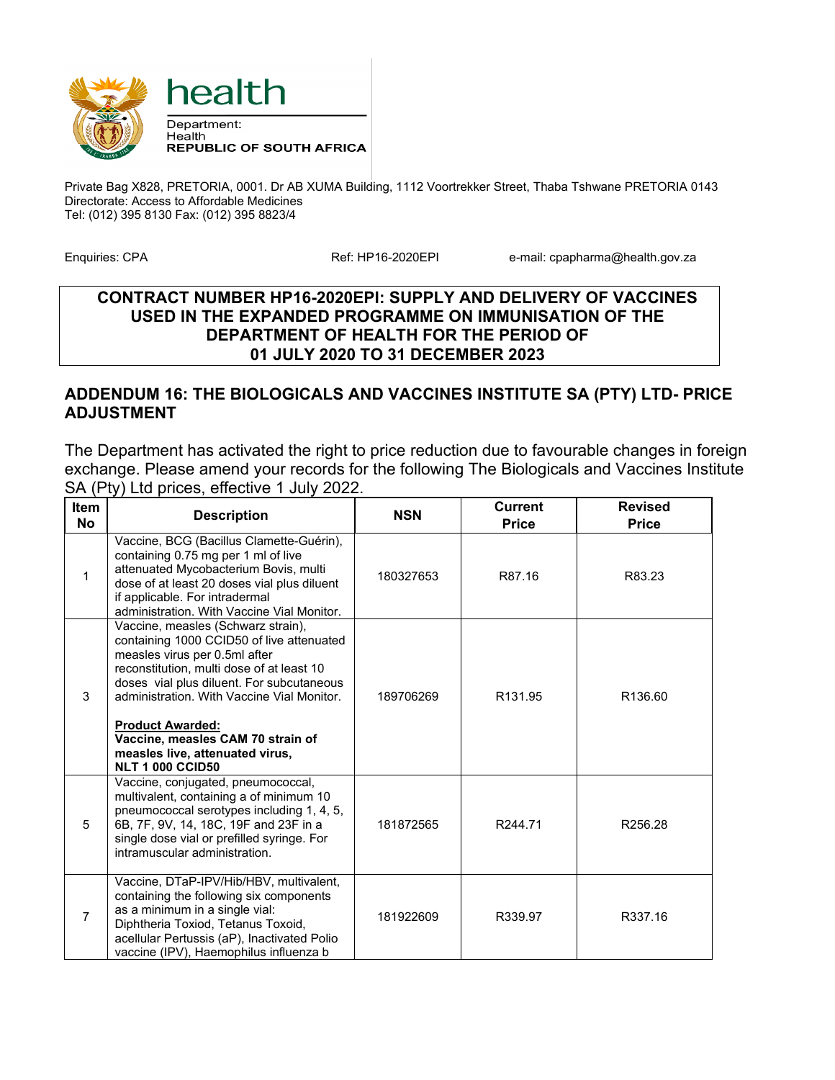

Private Bag X828, PRETORIA, 0001. Dr AB XUMA Building, 1112 Voortrekker Street, Thaba Tshwane PRETORIA 0143 Directorate: Access to Affordable Medicines Tel: (012) 395 8130 Fax: (012) 395 8823/4

Enquiries: CPA **Ref: HP16-2020EPI** e-mail: cpapharma@health.gov.za

#### **CONTRACT NUMBER HP16-2020EPI: SUPPLY AND DELIVERY OF VACCINES USED IN THE EXPANDED PROGRAMME ON IMMUNISATION OF THE DEPARTMENT OF HEALTH FOR THE PERIOD OF 01 JULY 2020 TO 31 DECEMBER 2023**

### **ADDENDUM 16: THE BIOLOGICALS AND VACCINES INSTITUTE SA (PTY) LTD- PRICE ADJUSTMENT**

The Department has activated the right to price reduction due to favourable changes in foreign exchange. Please amend your records for the following The Biologicals and Vaccines Institute SA (Pty) Ltd prices, effective 1 July 2022.

| Item<br><b>No</b> | <b>Description</b>                                                                                                                                                                                                                                                                                                                                                                     | <b>NSN</b> | <b>Current</b><br><b>Price</b> | <b>Revised</b><br><b>Price</b> |
|-------------------|----------------------------------------------------------------------------------------------------------------------------------------------------------------------------------------------------------------------------------------------------------------------------------------------------------------------------------------------------------------------------------------|------------|--------------------------------|--------------------------------|
| 1                 | Vaccine, BCG (Bacillus Clamette-Guérin),<br>containing 0.75 mg per 1 ml of live<br>attenuated Mycobacterium Bovis, multi<br>dose of at least 20 doses vial plus diluent<br>if applicable. For intradermal<br>administration. With Vaccine Vial Monitor.                                                                                                                                | 180327653  | R87.16                         | R83.23                         |
| 3                 | Vaccine, measles (Schwarz strain),<br>containing 1000 CCID50 of live attenuated<br>measles virus per 0.5ml after<br>reconstitution, multi dose of at least 10<br>doses vial plus diluent. For subcutaneous<br>administration. With Vaccine Vial Monitor.<br><b>Product Awarded:</b><br>Vaccine, measles CAM 70 strain of<br>measles live, attenuated virus,<br><b>NLT 1 000 CCID50</b> | 189706269  | R <sub>131.95</sub>            | R <sub>136.60</sub>            |
| 5                 | Vaccine, conjugated, pneumococcal,<br>multivalent, containing a of minimum 10<br>pneumococcal serotypes including 1, 4, 5,<br>6B, 7F, 9V, 14, 18C, 19F and 23F in a<br>single dose vial or prefilled syringe. For<br>intramuscular administration.                                                                                                                                     | 181872565  | R244.71                        | R256.28                        |
| $\overline{7}$    | Vaccine, DTaP-IPV/Hib/HBV, multivalent,<br>containing the following six components<br>as a minimum in a single vial:<br>Diphtheria Toxiod, Tetanus Toxoid,<br>acellular Pertussis (aP), Inactivated Polio<br>vaccine (IPV), Haemophilus influenza b                                                                                                                                    | 181922609  | R339.97                        | R337.16                        |